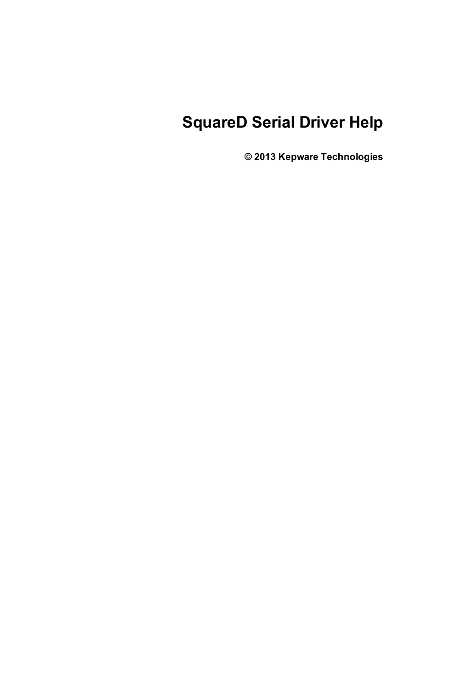# **SquareD Serial Driver Help**

**© 2013 Kepware Technologies**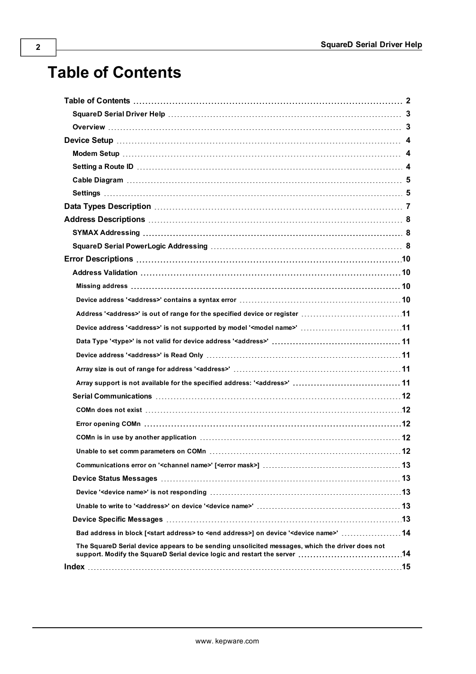# **Table of Contents**

| Address ' <address>' is out of range for the specified device or register 11</address>                                |  |
|-----------------------------------------------------------------------------------------------------------------------|--|
| Device address ' <address>' is not supported by model '<model name="">' 11</model></address>                          |  |
|                                                                                                                       |  |
|                                                                                                                       |  |
|                                                                                                                       |  |
|                                                                                                                       |  |
|                                                                                                                       |  |
|                                                                                                                       |  |
|                                                                                                                       |  |
|                                                                                                                       |  |
|                                                                                                                       |  |
|                                                                                                                       |  |
|                                                                                                                       |  |
|                                                                                                                       |  |
|                                                                                                                       |  |
|                                                                                                                       |  |
| Bad address in block [ <start address=""> to <end address="">] on device '<device name="">' 14</device></end></start> |  |
| The SquareD Serial device appears to be sending unsolicited messages, which the driver does not                       |  |
|                                                                                                                       |  |

<span id="page-1-0"></span>**2**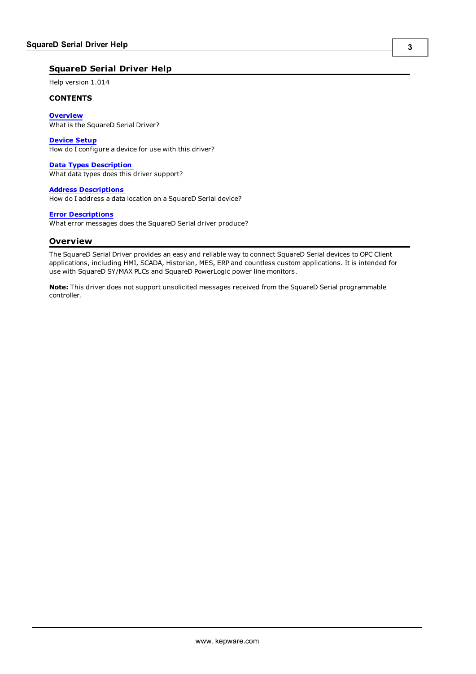## <span id="page-2-0"></span>**SquareD Serial Driver Help**

Help version 1.014

#### **CONTENTS**

**[Overview](#page-2-1)** What is the SquareD Serial Driver?

**[Device](#page-3-0) Setup** How do I configure a device for use with this driver?

**Data Types [Description](#page-6-0)** What data types does this driver support?

**Address [Descriptions](#page-7-0)** How do I address a data location on a SquareD Serial device?

#### **Error [Descriptions](#page-9-0)**

<span id="page-2-1"></span>What error messages does the SquareD Serial driver produce?

## **Overview**

The SquareD Serial Driver provides an easy and reliable way to connect SquareD Serial devices to OPC Client applications, including HMI, SCADA, Historian, MES, ERP and countless custom applications. It is intended for use with SquareD SY/MAX PLCs and SquareD PowerLogic power line monitors.

**Note:** This driver does not support unsolicited messages received from the SquareD Serial programmable controller.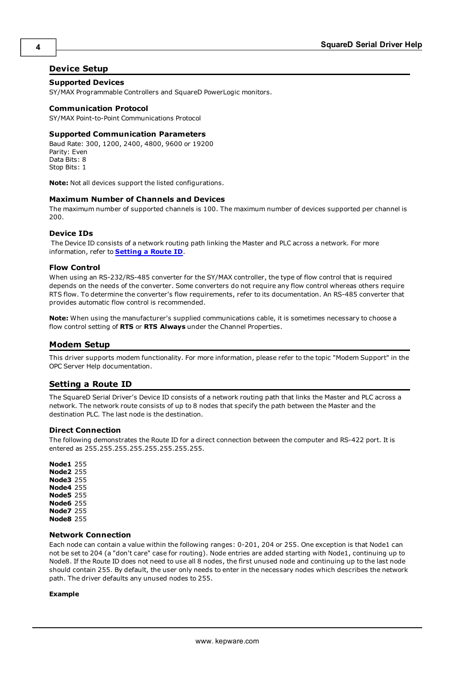## <span id="page-3-0"></span>**Device Setup**

## **Supported Devices**

SY/MAX Programmable Controllers and SquareD PowerLogic monitors.

#### **Communication Protocol**

SY/MAX Point-to-Point Communications Protocol

#### **Supported Communication Parameters**

Baud Rate: 300, 1200, 2400, 4800, 9600 or 19200 Parity: Even Data Bits: 8 Stop Bits: 1

**Note:** Not all devices support the listed configurations.

#### **Maximum Number of Channels and Devices**

The maximum number of supported channels is 100. The maximum number of devices supported per channel is 200.

#### <span id="page-3-4"></span><span id="page-3-3"></span>**Device IDs**

The Device ID consists of a network routing path linking the Master and PLC across a network. For more information, refer to **[Setting](#page-3-2) a Route ID**.

#### **Flow Control**

When using an RS-232/RS-485 converter for the SY/MAX controller, the type of flow control that is required depends on the needs of the converter. Some converters do not require any flow control whereas others require RTS flow. To determine the converter's flow requirements, refer to its documentation. An RS-485 converter that provides automatic flow control is recommended.

**Note:** When using the manufacturer's supplied communications cable, it is sometimes necessary to choose a flow control setting of **RTS** or **RTS Always** under the Channel Properties.

## <span id="page-3-1"></span>**Modem Setup**

This driver supports modem functionality. For more information, please refer to the topic "Modem Support" in the OPC Server Help documentation.

## <span id="page-3-2"></span>**Setting a Route ID**

The SquareD Serial Driver's Device ID consists of a network routing path that links the Master and PLC across a network. The network route consists of up to 8 nodes that specify the path between the Master and the destination PLC. The last node is the destination.

#### **Direct Connection**

The following demonstrates the Route ID for a direct connection between the computer and RS-422 port. It is entered as 255.255.255.255.255.255.255.255.

**Node1** 255 **Node2** 255 **Node3** 255 **Node4** 255 **Node5** 255 **Node6** 255 **Node7** 255 **Node8** 255

#### **Network Connection**

Each node can contain a value within the following ranges: 0-201, 204 or 255. One exception is that Node1 can not be set to 204 (a "don't care" case for routing). Node entries are added starting with Node1, continuing up to Node8. If the Route ID does not need to use all 8 nodes, the first unused node and continuing up to the last node should contain 255. By default, the user only needs to enter in the necessary nodes which describes the network path. The driver defaults any unused nodes to 255.

#### **Example**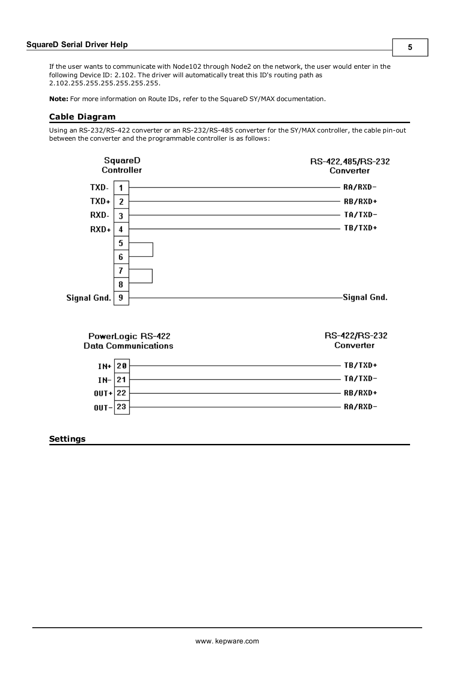If the user wants to communicate with Node102 through Node2 on the network, the user would enter in the following Device ID: 2.102. The driver will automatically treat this ID's routing path as 2.102.255.255.255.255.255.255.

<span id="page-4-0"></span>**Note:** For more information on Route IDs, refer to the SquareD SY/MAX documentation.

#### **Cable Diagram**

Using an RS-232/RS-422 converter or an RS-232/RS-485 converter for the SY/MAX controller, the cable pin-out between the converter and the programmable controller is as follows:

<span id="page-4-1"></span>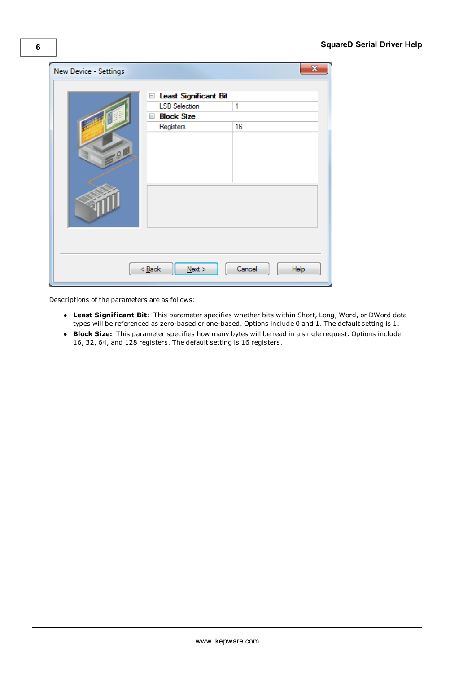| New Device - Settings |                                                                                               | x              |
|-----------------------|-----------------------------------------------------------------------------------------------|----------------|
| $-91$                 | E Least Significant Bit<br><b>LSB Selection</b><br><b>Block Size</b><br>$\equiv$<br>Registers | 1<br>16        |
|                       | $N$ ext ><br>$\leq$ Back                                                                      | Cancel<br>Help |

Descriptions of the parameters are as follows:

- **Least Significant Bit:** This parameter specifies whether bits within Short, Long, Word, or DWord data types will be referenced as zero-based or one-based. Options include 0 and 1. The default setting is 1.
- **Block Size:** This parameter specifies how many bytes will be read in a single request. Options include 16, 32, 64, and 128 registers. The default setting is 16 registers.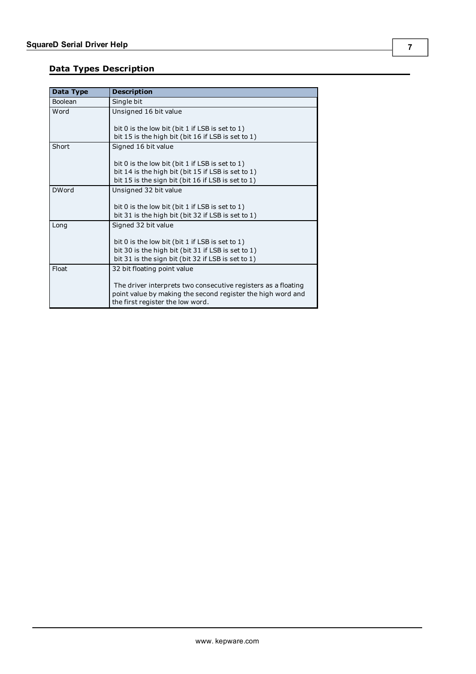# <span id="page-6-0"></span>**Data Types Description**

<span id="page-6-6"></span><span id="page-6-5"></span><span id="page-6-4"></span><span id="page-6-3"></span><span id="page-6-2"></span><span id="page-6-1"></span>

| Data Type    | <b>Description</b>                                            |
|--------------|---------------------------------------------------------------|
| Boolean      | Single bit                                                    |
| Word         | Unsigned 16 bit value                                         |
|              |                                                               |
|              | bit 0 is the low bit (bit 1 if LSB is set to 1)               |
|              | bit 15 is the high bit (bit 16 if LSB is set to 1)            |
| Short        | Signed 16 bit value                                           |
|              |                                                               |
|              | bit 0 is the low bit (bit 1 if LSB is set to 1)               |
|              | bit 14 is the high bit (bit 15 if LSB is set to 1)            |
|              | bit 15 is the sign bit (bit 16 if LSB is set to 1)            |
| <b>DWord</b> | Unsigned 32 bit value                                         |
|              |                                                               |
|              | bit 0 is the low bit (bit 1 if LSB is set to 1)               |
|              | bit 31 is the high bit (bit 32 if LSB is set to 1)            |
| Long         | Signed 32 bit value                                           |
|              |                                                               |
|              | bit 0 is the low bit (bit 1 if LSB is set to 1)               |
|              | bit 30 is the high bit (bit 31 if LSB is set to 1)            |
|              | bit 31 is the sign bit (bit 32 if LSB is set to 1)            |
| Float        | 32 bit floating point value                                   |
|              |                                                               |
|              | The driver interprets two consecutive registers as a floating |
|              | point value by making the second register the high word and   |
|              | the first register the low word.                              |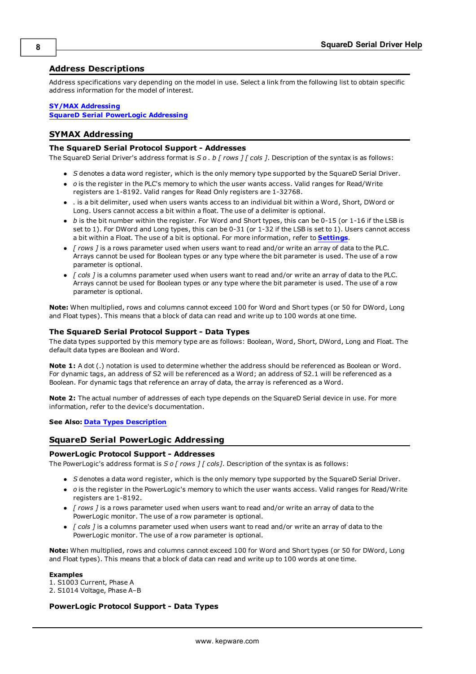## <span id="page-7-0"></span>**Address Descriptions**

Address specifications vary depending on the model in use. Select a link from the following list to obtain specific address information for the model of interest.

#### **SY/MAX [Addressing](#page-7-1)**

## <span id="page-7-1"></span>**SquareD Serial [PowerLogic](#page-7-2) Addressing**

#### **SYMAX Addressing**

#### **The SquareD Serial Protocol Support - Addresses**

The SquareD Serial Driver's address format is *S o . b [ rows ] [ cols ]*. Description of the syntax is as follows:

- S denotes a data word register, which is the only memory type supported by the SquareD Serial Driver.
- o is the register in the PLC's memory to which the user wants access. Valid ranges for Read/Write registers are 1-8192. Valid ranges for Read Only registers are 1-32768.
- l *.* is a bit delimiter, used when users wants access to an individual bit within a Word, Short, DWord or Long. Users cannot access a bit within a float. The use of a delimiter is optional.
- **•** *b* is the bit number within the register. For Word and Short types, this can be 0-15 (or 1-16 if the LSB is set to 1). For DWord and Long types, this can be 0-31 (or 1-32 if the LSB is set to 1). Users cannot access a bit within a Float. The use of a bit is optional. For more information, refer to **[Settings](#page-4-1)**.
- l *[ rows ]* is a rows parameter used when users want to read and/or write an array of data to the PLC. Arrays cannot be used for Boolean types or any type where the bit parameter is used. The use of a row parameter is optional.
- l *[ cols ]* is a columns parameter used when users want to read and/or write an array of data to the PLC. Arrays cannot be used for Boolean types or any type where the bit parameter is used. The use of a row parameter is optional.

**Note:** When multiplied, rows and columns cannot exceed 100 for Word and Short types (or 50 for DWord, Long and Float types). This means that a block of data can read and write up to 100 words at one time.

#### **The SquareD Serial Protocol Support - Data Types**

The data types supported by this memory type are as follows: Boolean, Word, Short, DWord, Long and Float. The default data types are Boolean and Word.

**Note 1:** A dot (.) notation is used to determine whether the address should be referenced as Boolean or Word. For dynamic tags, an address of S2 will be referenced as a Word; an address of S2.1 will be referenced as a Boolean. For dynamic tags that reference an array of data, the array is referenced as a Word.

**Note 2:** The actual number of addresses of each type depends on the SquareD Serial device in use. For more information, refer to the device's documentation.

#### <span id="page-7-2"></span>**See Also: Data Types [Description](#page-6-0)**

#### **SquareD Serial PowerLogic Addressing**

#### **PowerLogic Protocol Support - Addresses**

The PowerLogic's address format is *S o [ rows ] [ cols]*. Description of the syntax is as follows:

- S denotes a data word register, which is the only memory type supported by the SquareD Serial Driver.
- l *o* is the register in the PowerLogic's memory to which the user wants access. Valid ranges for Read/Write registers are 1-8192.
- l *[ rows ]* is a rows parameter used when users want to read and/or write an array of data to the PowerLogic monitor. The use of a row parameter is optional.
- l *[ cols ]* is a columns parameter used when users want to read and/or write an array of data to the PowerLogic monitor. The use of a row parameter is optional.

**Note:** When multiplied, rows and columns cannot exceed 100 for Word and Short types (or 50 for DWord, Long and Float types). This means that a block of data can read and write up to 100 words at one time.

#### **Examples**

1. S1003 Current, Phase A 2. S1014 Voltage, Phase A–B

#### **PowerLogic Protocol Support - Data Types**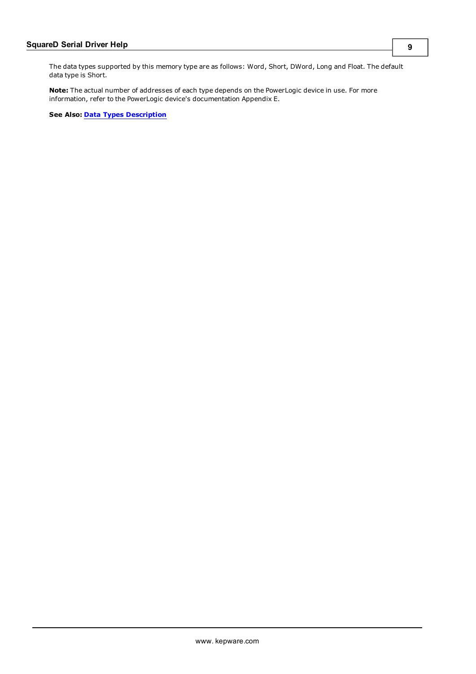**Note:** The actual number of addresses of each type depends on the PowerLogic device in use. For more information, refer to the PowerLogic device's documentation Appendix E.

**See Also: Data Types [Description](#page-6-0)**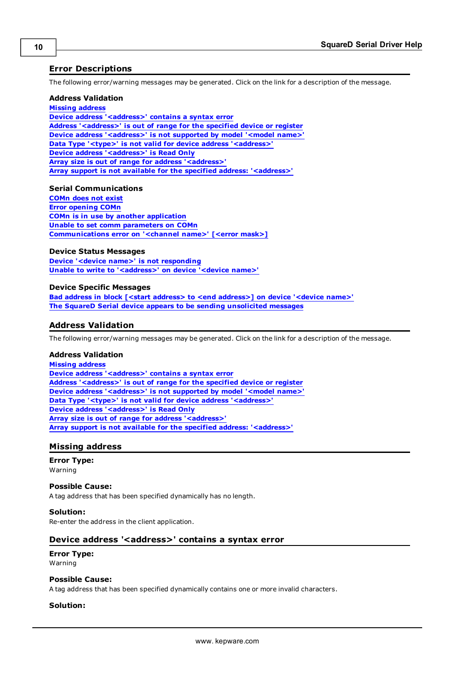## <span id="page-9-0"></span>**Error Descriptions**

The following error/warning messages may be generated. Click on the link for a description of the message.

#### **Address Validation**

**Missing [address](#page-9-2) Device address ['<address>'](#page-9-3) contains a syntax error Address ['<address>'](#page-10-0) is out of range for the specified device or register Device address ['<address>'](#page-10-1) is not supported by model '<model name>' Data Type '<type>' is not valid for device address ['<address>'](#page-10-2) Device address ['<address>'](#page-10-3) is Read Only Array size is out of range for address ['<address>'](#page-10-4) Array support is not available for the specified address: ['<address>'](#page-10-5)**

#### **Serial Communications**

**[COMn](#page-11-1) does not exist Error [opening](#page-11-2) COMn COMn is in use by another [application](#page-11-3) Unable to set comm [parameters](#page-11-4) on COMn [Communications](#page-12-0) error on '<channel name>' [<error mask>]**

#### **Device Status Messages**

**Device '<device name>' is not [responding](#page-12-2) Unable to write to ['<address>'](#page-12-3) on device '<device name>'**

#### **Device Specific Messages**

**Bad address in block [<start address> to <end [address>\]](#page-13-0) on device '<device name>' The SquareD Serial device appears to be sending [unsolicited](#page-13-1) messages**

## <span id="page-9-1"></span>**Address Validation**

The following error/warning messages may be generated. Click on the link for a description of the message.

#### **Address Validation**

**Missing [address](#page-9-2) Device address ['<address>'](#page-9-3) contains a syntax error Address ['<address>'](#page-10-0) is out of range for the specified device or register Device address ['<address>'](#page-10-1) is not supported by model '<model name>' Data Type '<type>' is not valid for device address ['<address>'](#page-10-2) Device address ['<address>'](#page-10-3) is Read Only Array size is out of range for address ['<address>'](#page-10-4) Array support is not available for the specified address: ['<address>'](#page-10-5)**

#### <span id="page-9-2"></span>**Missing address**

## **Error Type:**

Warning

#### **Possible Cause:**

A tag address that has been specified dynamically has no length.

#### **Solution:**

<span id="page-9-3"></span>Re-enter the address in the client application.

## **Device address '<address>' contains a syntax error**

#### **Error Type:** Warning

#### **Possible Cause:**

A tag address that has been specified dynamically contains one or more invalid characters.

#### **Solution:**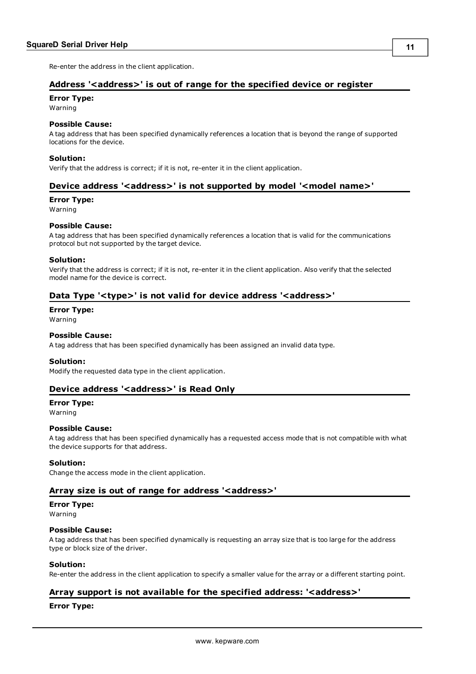<span id="page-10-0"></span>Re-enter the address in the client application.

## **Address '<address>' is out of range for the specified device or register**

#### **Error Type:**

Warning

#### **Possible Cause:**

A tag address that has been specified dynamically references a location that is beyond the range of supported locations for the device.

#### **Solution:**

<span id="page-10-1"></span>Verify that the address is correct; if it is not, re-enter it in the client application.

#### **Device address '<address>' is not supported by model '<model name>'**

#### **Error Type:**

Warning

### **Possible Cause:**

A tag address that has been specified dynamically references a location that is valid for the communications protocol but not supported by the target device.

#### **Solution:**

Verify that the address is correct; if it is not, re-enter it in the client application. Also verify that the selected model name for the device is correct.

#### <span id="page-10-2"></span>**Data Type '<type>' is not valid for device address '<address>'**

#### **Error Type:**

Warning

#### **Possible Cause:**

A tag address that has been specified dynamically has been assigned an invalid data type.

#### **Solution:**

<span id="page-10-3"></span>Modify the requested data type in the client application.

## **Device address '<address>' is Read Only**

## **Error Type:**

Warning

#### **Possible Cause:**

A tag address that has been specified dynamically has a requested access mode that is not compatible with what the device supports for that address.

#### **Solution:**

<span id="page-10-4"></span>Change the access mode in the client application.

#### **Array size is out of range for address '<address>'**

**Error Type:**

# Warning

#### **Possible Cause:**

A tag address that has been specified dynamically is requesting an array size that is too large for the address type or block size of the driver.

#### **Solution:**

<span id="page-10-5"></span>Re-enter the address in the client application to specify a smaller value for the array or a different starting point.

## **Array support is not available for the specified address: '<address>'**

#### **Error Type:**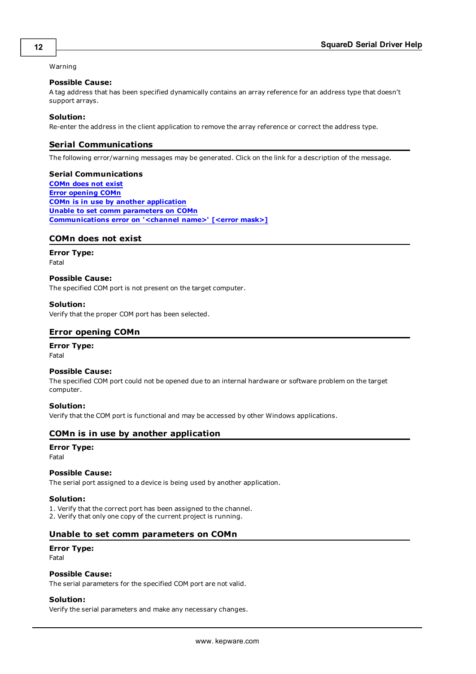#### Warning

#### **Possible Cause:**

A tag address that has been specified dynamically contains an array reference for an address type that doesn't support arrays.

#### **Solution:**

<span id="page-11-0"></span>Re-enter the address in the client application to remove the array reference or correct the address type.

## **Serial Communications**

The following error/warning messages may be generated. Click on the link for a description of the message.

#### **Serial Communications**

**[COMn](#page-11-1) does not exist Error [opening](#page-11-2) COMn COMn is in use by another [application](#page-11-3) Unable to set comm [parameters](#page-11-4) on COMn [Communications](#page-12-0) error on '<channel name>' [<error mask>]**

## <span id="page-11-1"></span>**COMn does not exist**

**Error Type:** Fatal

## **Possible Cause:**

The specified COM port is not present on the target computer.

#### **Solution:**

<span id="page-11-2"></span>Verify that the proper COM port has been selected.

#### **Error opening COMn**

#### **Error Type:**

Fatal

#### **Possible Cause:**

The specified COM port could not be opened due to an internal hardware or software problem on the target computer.

#### **Solution:**

<span id="page-11-3"></span>Verify that the COM port is functional and may be accessed by other Windows applications.

#### **COMn is in use by another application**

#### **Error Type:**

Fatal

# **Possible Cause:**

The serial port assigned to a device is being used by another application.

#### **Solution:**

1. Verify that the correct port has been assigned to the channel. 2. Verify that only one copy of the current project is running.

#### <span id="page-11-4"></span>**Unable to set comm parameters on COMn**

# **Error Type:**

Fatal

#### **Possible Cause:**

The serial parameters for the specified COM port are not valid.

## **Solution:**

Verify the serial parameters and make any necessary changes.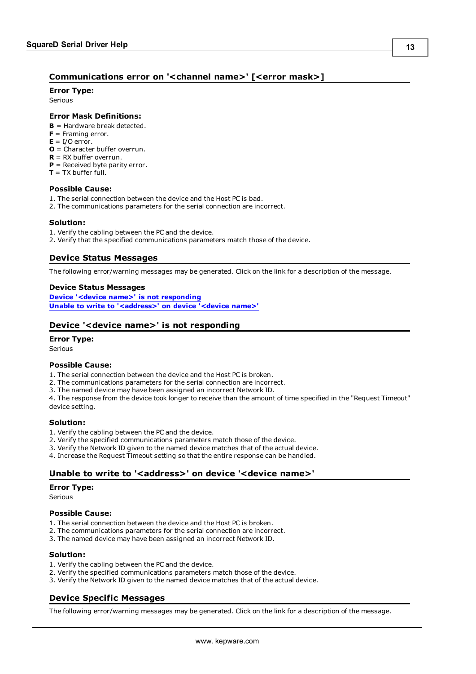## <span id="page-12-0"></span>**Communications error on '<channel name>' [<error mask>]**

#### **Error Type:**

Serious

#### **Error Mask Definitions:**

- <span id="page-12-5"></span>**B** = Hardware break detected.
- **F** = Framing error.
- <span id="page-12-6"></span> $E = I/O$  error.
- **O** = Character buffer overrun.
- <span id="page-12-7"></span>**R** = RX buffer overrun.
- **P** = Received byte parity error.
- **= TX buffer full.**

#### **Possible Cause:**

- 1. The serial connection between the device and the Host PC is bad.
- 2. The communications parameters for the serial connection are incorrect.

#### **Solution:**

- 1. Verify the cabling between the PC and the device.
- <span id="page-12-1"></span>2. Verify that the specified communications parameters match those of the device.

#### **Device Status Messages**

The following error/warning messages may be generated. Click on the link for a description of the message.

#### **Device Status Messages**

**Device '<device name>' is not [responding](#page-12-2) Unable to write to ['<address>'](#page-12-3) on device '<device name>'**

## <span id="page-12-2"></span>**Device '<device name>' is not responding**

#### **Error Type:**

Serious

#### **Possible Cause:**

- 1. The serial connection between the device and the Host PC is broken.
- 2. The communications parameters for the serial connection are incorrect.
- 3. The named device may have been assigned an incorrect Network ID.

4. The response from the device took longer to receive than the amount of time specified in the "Request Timeout" device setting.

#### **Solution:**

- 1. Verify the cabling between the PC and the device.
- 2. Verify the specified communications parameters match those of the device.
- 3. Verify the Network ID given to the named device matches that of the actual device.
- <span id="page-12-3"></span>4. Increase the Request Timeout setting so that the entire response can be handled.

#### **Unable to write to '<address>' on device '<device name>'**

#### **Error Type:**

Serious

#### **Possible Cause:**

- 1. The serial connection between the device and the Host PC is broken.
- 2. The communications parameters for the serial connection are incorrect.
- 3. The named device may have been assigned an incorrect Network ID.

#### **Solution:**

- 1. Verify the cabling between the PC and the device.
- 2. Verify the specified communications parameters match those of the device.
- <span id="page-12-4"></span>3. Verify the Network ID given to the named device matches that of the actual device.

## **Device Specific Messages**

The following error/warning messages may be generated. Click on the link for a description of the message.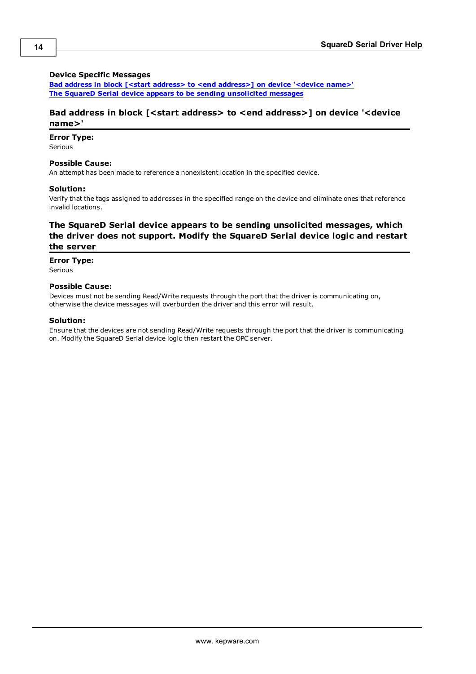#### **Device Specific Messages**

**Bad address in block [<start address> to <end [address>\]](#page-13-0) on device '<device name>' The SquareD Serial device appears to be sending [unsolicited](#page-13-1) messages**

### <span id="page-13-0"></span>**Bad address in block [<start address> to <end address>] on device '<device name>'**

#### **Error Type:**

Serious

#### **Possible Cause:**

An attempt has been made to reference a nonexistent location in the specified device.

#### **Solution:**

Verify that the tags assigned to addresses in the specified range on the device and eliminate ones that reference invalid locations.

## <span id="page-13-1"></span>**The SquareD Serial device appears to be sending unsolicited messages, which the driver does not support. Modify the SquareD Serial device logic and restart the server**

#### **Error Type:**

Serious

#### **Possible Cause:**

Devices must not be sending Read/Write requests through the port that the driver is communicating on, otherwise the device messages will overburden the driver and this error will result.

#### **Solution:**

Ensure that the devices are not sending Read/Write requests through the port that the driver is communicating on. Modify the SquareD Serial device logic then restart the OPC server.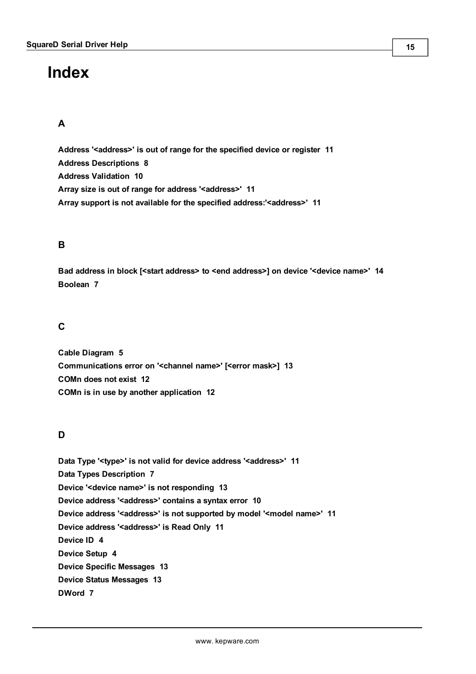# <span id="page-14-0"></span>**Index**

# **A**

**Address '<address>' is out of range for the specified device or register [11](#page-10-0) Address Descriptions [8](#page-7-0) Address Validation [10](#page-9-1) Array size is out of range for address '<address>' [11](#page-10-4) Array support is not available for the specified address:'<address>' [11](#page-10-5)**

# **B**

**Bad address in block [<start address> to <end address>] on device '<device name>' [14](#page-13-0) Boolean [7](#page-6-1)**

# **C**

**Cable Diagram [5](#page-4-0) Communications error on '<channel name>' [<error mask>] [13](#page-12-0) COMn does not exist [12](#page-11-1) COMn is in use by another application [12](#page-11-3)**

# **D**

**Data Type '<type>' is not valid for device address '<address>' [11](#page-10-2) Data Types Description [7](#page-6-0) Device '<device name>' is not responding [13](#page-12-2) Device address '<address>' contains a syntax error [10](#page-9-3) Device address '<address>' is not supported by model '<model name>' [11](#page-10-1) Device address '<address>' is Read Only [11](#page-10-3) Device ID [4](#page-3-3) Device Setup [4](#page-3-0) Device Specific Messages [13](#page-12-4) Device Status Messages [13](#page-12-1) DWord [7](#page-6-2)**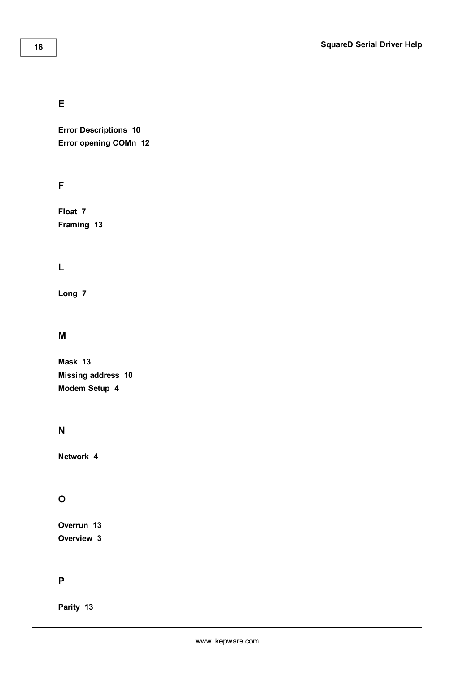# **E**

**Error Descriptions [10](#page-9-0) Error opening COMn [12](#page-11-2)**

# **F**

**Float [7](#page-6-3) Framing [13](#page-12-5)**

# **L**

**Long [7](#page-6-4)**

# **M**

**Mask [13](#page-12-0) Missing address [10](#page-9-2) Modem Setup [4](#page-3-1)**

# **N**

**Network [4](#page-3-4)**

# **O**

**Overrun [13](#page-12-6) Overview [3](#page-2-1)**

# **P**

**Parity [13](#page-12-7)**